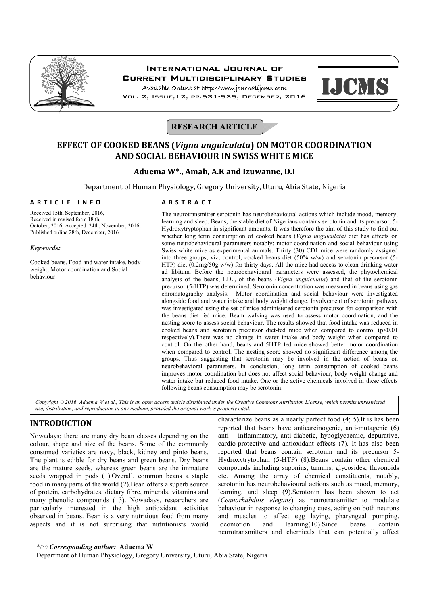

# International Journal of Current Multidisciplinary Studies

Available Online at http://www.journalijcms.com Vol. 2, Issue,12, pp.531-535, December, 2016



# **RESEARCH ARTICLE**

# **EFFECT OF COOKED BEANS (***Vigna unguiculata***) ON MOTOR COORDINATION AND SOCIAL BEHAVIOUR IN SWISS WHITE MICE**

## **Aduema W\*., Amah, A.K and Izuwanne, D.I**

Department of Human Physiology, Gregory University, Uturu, Abia State, Nigeria

# **A R T I C L E I N F O A B S T R A C T**

Received 15th, September, 2016, Received in revised form 18 th, October, 2016, Accepted 24th, November, 2016, Published online 28th, December, 2016

#### *Keywords:*

Cooked beans, Food and water intake, body weight, Motor coordination and Social behaviour

The neurotransmitter serotonin has neurobehavioural actions which include mood, memory, learning and sleep. Beans, the stable diet of Nigerians contains serotonin and its precursor, 5- Hydroxytryptophan in significant amounts. It was therefore the aim of this study to find out whether long term consumption of cooked beans (*Vigna unguiculata)* diet has effects on some neurobehavioural parameters notably; motor coordination and social behaviour using Swiss white mice as experimental animals. Thirty (30) CD1 mice were randomly assigned into three groups, viz; control, cooked beans diet (50% w/w) and serotonin precursor (5- HTP) diet (0.2mg/50g w/w) for thirty days. All the mice had access to clean drinking water ad libitum. Before the neurobehavioural parameters were assessed, the phytochemical analysis of the beans,  $LD_{50}$  of the beans (*Vigna unguiculata*) and that of the serotonin precursor (5-HTP) was determined. Serotonin concentration was measured in beans using gas chromatography analysis. Motor coordination and social behaviour were investigated alongside food and water intake and body weight change. Involvement of serotonin pathway was investigated using the set of mice administered serotonin precursor for comparison with the beans diet fed mice. Beam walking was used to assess motor coordination, and the nesting score to assess social behaviour. The results showed that food intake was reduced in cooked beans and serotonin precursor diet-fed mice when compared to control  $(p<0.01$ respectively).There was no change in water intake and body weight when compared to control. On the other hand, beans and 5HTP fed mice showed better motor coordination when compared to control. The nesting score showed no significant difference among the groups. Thus suggesting that serotonin may be involved in the action of beans on neurobehavioral parameters. In conclusion, long term consumption of cooked beans improves motor coordination but does not affect social behaviour, body weight change and water intake but reduced food intake. One or the active chemicals involved in these effects following beans consumption may be serotonin.

*Copyright © 2016 Aduema W et al., This is an open access article distributed under the Creative Commons Attribution License, which permits unrestricted use, distribution, and reproduction in any medium, provided the original work is properly cited.*

# **INTRODUCTION**

Nowadays; there are many dry bean classes depending on the colour, shape and size of the beans. Some of the commonly consumed varieties are navy, black, kidney and pinto beans. The plant is edible for dry beans and green beans. Dry beans are the mature seeds, whereas green beans are the immature seeds wrapped in pods (1).Overall, common beans a staple food in many parts of the world (2).Bean offers a superb source of protein, carbohydrates, dietary fibre, minerals, vitamins and many phenolic compounds ( 3). Nowadays, researchers are particularly interested in the high antioxidant activities observed in beans. Bean is a very nutritious food from many aspects and it is not surprising that nutritionists would

characterize beans as a nearly perfect food (4; 5).It is has been reported that beans have anticarcinogenic, anti-mutagenic (6) anti – inflammatory, anti-diabetic, hypoglycaemic, depurative, cardio-protective and antioxidant effects (7). It has also been reported that beans contain serotonin and its precursor 5- Hydroxytrytophan (5-HTP) (8).Beans contain other chemical compounds including saponins, tannins, glycosides, flavonoids etc. Among the array of chemical constituents, notably, serotonin has neurobehavioural actions such as mood, memory, learning, and sleep (9).Serotonin has been shown to act (*Ceanorhabditis elegans*) as neurotransmitter to modulate behaviour in response to changing cues, acting on both neurons and muscles to affect egg laying, pharyngeal pumping, locomotion and learning(10).Since beans contain neurotransmitters and chemicals that can potentially affect

*\* Corresponding author:* **Aduema W**

Department of Human Physiology, Gregory University, Uturu, Abia State, Nigeria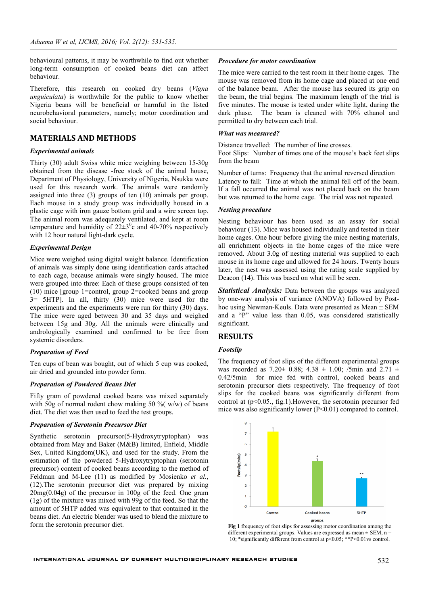behavioural patterns, it may be worthwhile to find out whether long-term consumption of cooked beans diet can affect behaviour.

Therefore, this research on cooked dry beans (*Vigna unguiculata*) is worthwhile for the public to know whether Nigeria beans will be beneficial or harmful in the listed neurobehavioral parameters, namely; motor coordination and social behaviour.

### **MATERIALS AND METHODS**

#### *Experimental animals*

Thirty (30) adult Swiss white mice weighing between 15-30g obtained from the disease -free stock of the animal house, Department of Physiology, University of Nigeria, Nsukka were used for this research work. The animals were randomly assigned into three (3) groups of ten (10) animals per group. Each mouse in a study group was individually housed in a plastic cage with iron gauze bottom grid and a wire screen top. The animal room was adequately ventilated, and kept at room temperature and humidity of  $22\pm3$ <sup>0</sup>c and 40-70% respectively with 12 hour natural light-dark cycle.

#### *Experimental Design*

Mice were weighed using digital weight balance. Identification of animals was simply done using identification cards attached to each cage, because animals were singly housed. The mice were grouped into three: Each of these groups consisted of ten (10) mice [group 1=control, group 2=cooked beans and group 3= 5HTP]. In all, thirty (30) mice were used for the experiments and the experiments were run for thirty (30) days. The mice were aged between 30 and 35 days and weighed between 15g and 30g. All the animals were clinically and andrologically examined and confirmed to be free from systemic disorders.

#### *Preparation of Feed*

Ten cups of bean was bought, out of which 5 cup was cooked, air dried and grounded into powder form.

#### *Preparation of Powdered Beans Diet*

Fifty gram of powdered cooked beans was mixed separately with 50g of normal rodent chow making 50 % ( $w/w$ ) of beans diet. The diet was then used to feed the test groups.

#### *Preparation of Serotonin Precursor Diet*

Synthetic serotonin precursor(5-Hydroxytryptophan) was obtained from May and Baker (M&B) limited, Enfield, Middle Sex, United Kingdom(UK), and used for the study. From the estimation of the powdered 5-Hydroxytryptophan (serotonin precursor) content of cooked beans according to the method of Feldman and M-Lee (11) as modified by Mosienko *et al.*, (12).The serotonin precursor diet was prepared by mixing 20mg(0.04g) of the precursor in 100g of the feed. One gram (1g) of the mixture was mixed with 99g of the feed. So that the amount of 5HTP added was equivalent to that contained in the beans diet. An electric blender was used to blend the mixture to form the serotonin precursor diet.

#### *Procedure for motor coordination*

The mice were carried to the test room in their home cages. The mouse was removed from its home cage and placed at one end of the balance beam. After the mouse has secured its grip on the beam, the trial begins. The maximum length of the trial is five minutes. The mouse is tested under white light, during the dark phase. The beam is cleaned with 70% ethanol and permitted to dry between each trial.

#### *What was measured?*

Distance travelled: The number of line crosses.

Foot Slips: Number of times one of the mouse's back feet slips from the beam

Number of turns: Frequency that the animal reversed direction Latency to fall: Time at which the animal fell off of the beam. If a fall occurred the animal was not placed back on the beam but was returned to the home cage. The trial was not repeated.

#### *Nesting procedure*

Nesting behaviour has been used as an assay for social behaviour (13). Mice was housed individually and tested in their home cages. One hour before giving the mice nesting materials, all enrichment objects in the home cages of the mice were removed. About 3.0g of nesting material was supplied to each mouse in its home cage and allowed for 24 hours. Twenty hours later, the nest was assessed using the rating scale supplied by Deacon (14). This was based on what will be seen.

*Statistical Analysis:* Data between the groups was analyzed by one-way analysis of variance (ANOVA) followed by Posthoc using Newman-Keuls. Data were presented as Mean  $\pm$  SEM and a "P" value less than 0.05, was considered statistically significant.

## **RESULTS**

#### *Footslip*

The frequency of foot slips of the different experimental groups was recorded as  $7.20 \pm 0.88$ ;  $4.38 \pm 1.00$ ; /5min and  $2.71 \pm 1.00$ 0.42/5min for mice fed with control, cooked beans and serotonin precursor diets respectively. The frequency of foot slips for the cooked beans was significantly different from control at  $(p<0.05]$ , fig.1). However, the serotonin precursor fed mice was also significantly lower (P<0.01) compared to control.



**Fig 1** frequency of foot slips for assessing motor coordination among the different experimental groups. Values are expressed as mean  $\pm$  SEM, n = 10; \*significantly different from control at p<0.05; \*\*P<0.01vs control.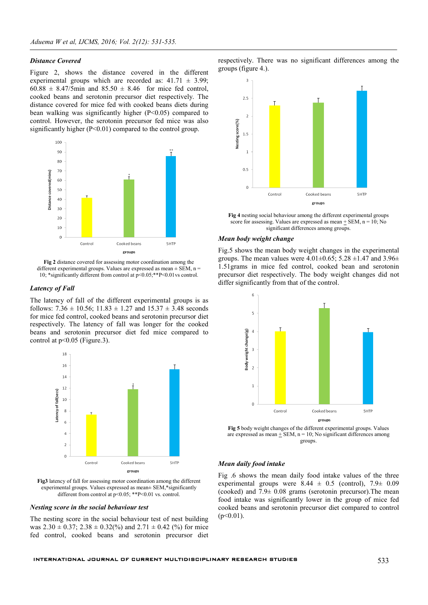#### *Distance Covered*

Figure 2, shows the distance covered in the different experimental groups which are recorded as:  $41.71 \pm 3.99$ ;  $60.88 \pm 8.47/5$  min and  $85.50 \pm 8.46$  for mice fed control, cooked beans and serotonin precursor diet respectively. The distance covered for mice fed with cooked beans diets during bean walking was significantly higher (P<0.05) compared to control. However, the serotonin precursor fed mice was also significantly higher (P<0.01) compared to the control group.



**Fig 2** distance covered for assessing motor coordination among the different experimental groups. Values are expressed as mean  $\pm$  SEM, n = 10; \*significantly different from control at p<0.05;\*\*P<0.01vs control.

#### *Latency of Fall*

The latency of fall of the different experimental groups is as follows:  $7.36 \pm 10.56$ ;  $11.83 \pm 1.27$  and  $15.37 \pm 3.48$  seconds for mice fed control, cooked beans and serotonin precursor diet respectively. The latency of fall was longer for the cooked beans and serotonin precursor diet fed mice compared to control at  $p<0.05$  (Figure.3).



**Fig3** latency of fall for assessing motor coordination among the different experimental groups. Values expressed as mean± SEM,\*significantly different from control at  $p<0.05$ ; \*\*P<0.01 vs. control.

#### *Nesting score in the social behaviour test*

The nesting score in the social behaviour test of nest building was  $2.30 \pm 0.37$ ;  $2.38 \pm 0.32$ %) and  $2.71 \pm 0.42$  (%) for mice fed control, cooked beans and serotonin precursor diet

respectively. There was no significant differences among the groups (figure 4.).



**Fig 4** nesting social behaviour among the different experimental groups score for assessing. Values are expressed as mean  $\pm$  SEM, n = 10; No significant differences among groups.

#### *Mean body weight change*

Fig.5 shows the mean body weight changes in the experimental groups. The mean values were  $4.01\pm0.65$ ;  $5.28\pm1.47$  and  $3.96\pm$ 1.51grams in mice fed control, cooked bean and serotonin precursor diet respectively. The body weight changes did not differ significantly from that of the control.



**Fig 5** body weight changes of the different experimental groups. Values are expressed as mean  $\pm$  SEM, n = 10; No significant differences among groups.

#### *Mean daily food intake*

Fig .6 shows the mean daily food intake values of the three experimental groups were  $8.44 \pm 0.5$  (control),  $7.9 \pm 0.09$ (cooked) and  $7.9\pm 0.08$  grams (serotonin precursor). The mean food intake was significantly lower in the group of mice fed cooked beans and serotonin precursor diet compared to control  $(p<0.01)$ .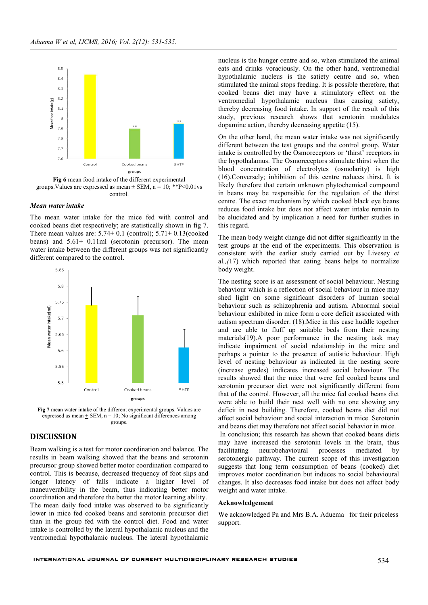

**Fig 6** mean food intake of the different experimental groups. Values are expressed as mean  $\pm$  SEM, n = 10; \*\*P<0.01vs control.

#### *Mean water intake*

The mean water intake for the mice fed with control and cooked beans diet respectively; are statistically shown in fig 7. There mean values are:  $5.74 \pm 0.1$  (control);  $5.71 \pm 0.13$  (cooked beans) and  $5.61 \pm 0.11$  ml (serotonin precursor). The mean water intake between the different groups was not significantly different compared to the control.



**Fig 7** mean water intake of the different experimental groups. Values are expressed as mean  $+$  SEM,  $n = 10$ ; No significant differences among groups.

## **DISCUSSION**

Beam walking is a test for motor coordination and balance. The results in beam walking showed that the beans and serotonin precursor group showed better motor coordination compared to control. This is because, decreased frequency of foot slips and longer latency of falls indicate a higher level of maneuverability in the beam, thus indicating better motor coordination and therefore the better the motor learning ability. The mean daily food intake was observed to be significantly lower in mice fed cooked beans and serotonin precursor diet than in the group fed with the control diet. Food and water intake is controlled by the lateral hypothalamic nucleus and the ventromedial hypothalamic nucleus. The lateral hypothalamic

nucleus is the hunger centre and so, when stimulated the animal eats and drinks voraciously. On the other hand, ventromedial hypothalamic nucleus is the satiety centre and so, when stimulated the animal stops feeding. It is possible therefore, that cooked beans diet may have a stimulatory effect on the ventromedial hypothalamic nucleus thus causing satiety, thereby decreasing food intake. In support of the result of this study, previous research shows that serotonin modulates dopamine action, thereby decreasing appetite (15).

On the other hand, the mean water intake was not significantly different between the test groups and the control group. Water intake is controlled by the Osmoreceptors or 'thirst' receptors in the hypothalamus. The Osmoreceptors stimulate thirst when the blood concentration of electrolytes (osmolarity) is high (16).Conversely; inhibition of this centre reduces thirst. It is likely therefore that certain unknown phytochemical compound in beans may be responsible for the regulation of the thirst centre. The exact mechanism by which cooked black eye beans reduces food intake but does not affect water intake remain to be elucidated and by implication a need for further studies in this regard.

The mean body weight change did not differ significantly in the test groups at the end of the experiments. This observation is consistent with the earlier study carried out by Livesey *et*  al*.,(*17) which reported that eating beans helps to normalize body weight.

The nesting score is an assessment of social behaviour. Nesting behaviour which is a reflection of social behaviour in mice may shed light on some significant disorders of human social behaviour such as schizophrenia and autism. Abnormal social behaviour exhibited in mice form a core deficit associated with autism spectrum disorder. (18).Mice in this case huddle together and are able to fluff up suitable beds from their nesting materials(19).A poor performance in the nesting task may indicate impairment of social relationship in the mice and perhaps a pointer to the presence of autistic behaviour. High level of nesting behaviour as indicated in the nesting score (increase grades) indicates increased social behaviour. The results showed that the mice that were fed cooked beans and serotonin precursor diet were not significantly different from that of the control. However, all the mice fed cooked beans diet were able to build their nest well with no one showing any deficit in nest building. Therefore, cooked beans diet did not affect social behaviour and social interaction in mice. Serotonin and beans diet may therefore not affect social behavior in mice.

In conclusion; this research has shown that cooked beans diets may have increased the serotonin levels in the brain, thus facilitating neurobehavioural processes mediated by serotonergic pathway. The current scope of this investigation suggests that long term consumption of beans (cooked) diet improves motor coordination but induces no social behavioural changes. It also decreases food intake but does not affect body weight and water intake.

#### **Acknowledgement**

We acknowledged Pa and Mrs B.A. Aduema for their priceless support.